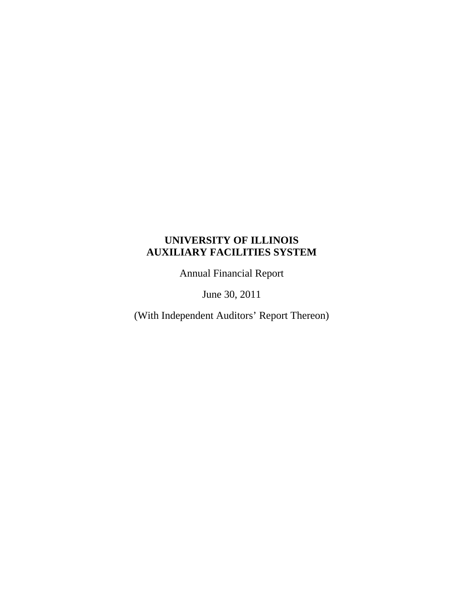Annual Financial Report

June 30, 2011

(With Independent Auditors' Report Thereon)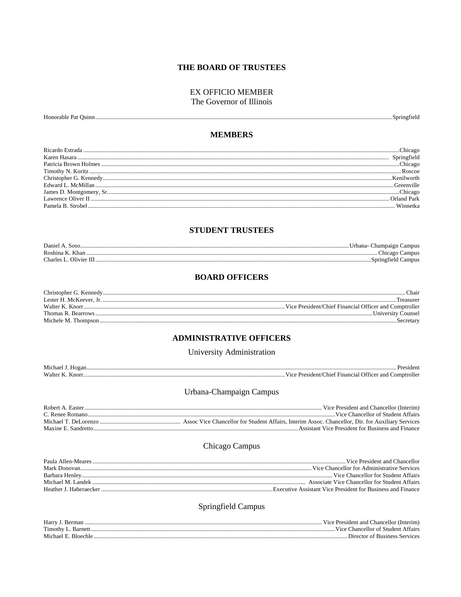# THE BOARD OF TRUSTEES

# **EX OFFICIO MEMBER**

The Governor of Illinois

| $ -$<br>חחוות י |  |
|-----------------|--|
|-----------------|--|

# **MEMBERS**

## **STUDENT TRUSTEES**

| Daniel         | лан |
|----------------|-----|
| $R$ oshin      |     |
| <b>Charles</b> |     |

#### **BOARD OFFICERS**

| Christopher G. Kennedy. | ∶hair                                                    |
|-------------------------|----------------------------------------------------------|
| Lester H. McKeever. Jr. | Treasurer                                                |
| Walter K. Knorr         | . Vice President/Chief Financial Officer and Comptroller |
| Thomas R. Bearrows      | University Counsel                                       |
| Michele M. Thompson     | Secretary                                                |

# **ADMINISTRATIVE OFFICERS**

# University Administration

| M |  |
|---|--|
| W |  |

# Urbana-Champaign Campus

| Robert A. Easter    | Vice President and Chancellor (Interim)                                                           |
|---------------------|---------------------------------------------------------------------------------------------------|
| C. Renee Romano     | Vice Chancellor of Student Affairs                                                                |
|                     | Assoc Vice Chancellor for Student Affairs. Interim Assoc. Chancellor. Dir. for Auxiliary Services |
| Maxine E. Sandretto | Assistant Vice President for Business and Finance                                                 |
|                     |                                                                                                   |

# Chicago Campus

| Paula Allen-Meares     | Vice President and Chancellor                               |
|------------------------|-------------------------------------------------------------|
| Mark Donovan.          | Vice Chancellor for Administrative Services                 |
| Barbara Henley.        | Vice Chancellor for Student Affairs                         |
| Michael M. Landek      | Associate Vice Chancellor for Student Affairs               |
| Heather J. Haberaecker | Executive Assistant Vice President for Business and Finance |

# Springfield Campus

| Harry   |        |
|---------|--------|
| Timothy |        |
| Mich.   | . )1 r |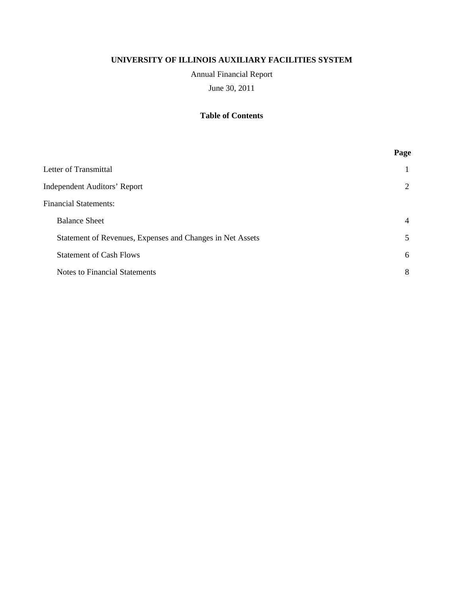Annual Financial Report

June 30, 2011

# **Table of Contents**

|                                                           | Page           |
|-----------------------------------------------------------|----------------|
| Letter of Transmittal                                     |                |
| <b>Independent Auditors' Report</b>                       | 2              |
| <b>Financial Statements:</b>                              |                |
| <b>Balance Sheet</b>                                      | $\overline{4}$ |
| Statement of Revenues, Expenses and Changes in Net Assets | 5              |
| <b>Statement of Cash Flows</b>                            | 6              |
| <b>Notes to Financial Statements</b>                      | 8              |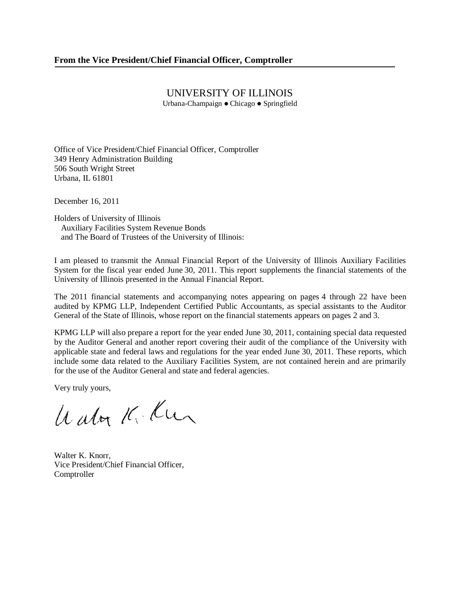# UNIVERSITY OF ILLINOIS

Urbana-Champaign · Chicago · Springfield

Office of Vice President/Chief Financial Officer, Comptroller 349 Henry Administration Building 506 South Wright Street Urbana, IL 61801

December 16, 2011

Holders of University of Illinois Auxiliary Facilities System Revenue Bonds and The Board of Trustees of the University of Illinois:

I am pleased to transmit the Annual Financial Report of the University of Illinois Auxiliary Facilities System for the fiscal year ended June 30, 2011. This report supplements the financial statements of the University of Illinois presented in the Annual Financial Report.

The 2011 financial statements and accompanying notes appearing on pages 4 through 22 have been audited by KPMG LLP, Independent Certified Public Accountants, as special assistants to the Auditor General of the State of Illinois, whose report on the financial statements appears on pages 2 and 3.

KPMG LLP will also prepare a report for the year ended June 30, 2011, containing special data requested by the Auditor General and another report covering their audit of the compliance of the University with applicable state and federal laws and regulations for the year ended June 30, 2011. These reports, which include some data related to the Auxiliary Facilities System, are not contained herein and are primarily for the use of the Auditor General and state and federal agencies.

Very truly yours,

Water K. Kur

Walter K. Knorr, Vice President/Chief Financial Officer, Comptroller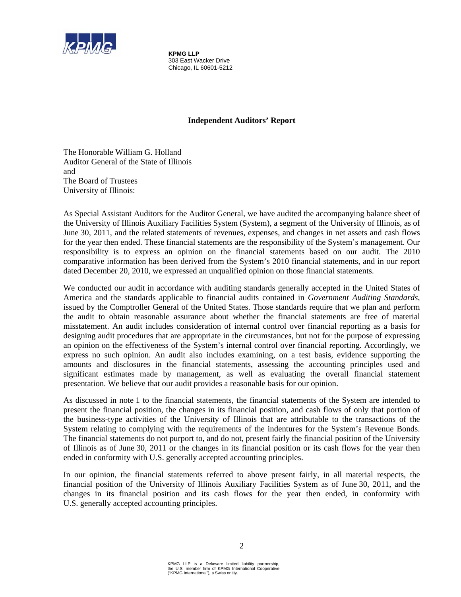

**KPMG LLP**  303 East Wacker Drive Chicago, IL 60601-5212

# **Independent Auditors' Report**

The Honorable William G. Holland Auditor General of the State of Illinois and The Board of Trustees University of Illinois:

As Special Assistant Auditors for the Auditor General, we have audited the accompanying balance sheet of the University of Illinois Auxiliary Facilities System (System), a segment of the University of Illinois, as of June 30, 2011, and the related statements of revenues, expenses, and changes in net assets and cash flows for the year then ended. These financial statements are the responsibility of the System's management. Our responsibility is to express an opinion on the financial statements based on our audit. The 2010 comparative information has been derived from the System's 2010 financial statements, and in our report dated December 20, 2010, we expressed an unqualified opinion on those financial statements.

We conducted our audit in accordance with auditing standards generally accepted in the United States of America and the standards applicable to financial audits contained in *Government Auditing Standards*, issued by the Comptroller General of the United States. Those standards require that we plan and perform the audit to obtain reasonable assurance about whether the financial statements are free of material misstatement. An audit includes consideration of internal control over financial reporting as a basis for designing audit procedures that are appropriate in the circumstances, but not for the purpose of expressing an opinion on the effectiveness of the System's internal control over financial reporting. Accordingly, we express no such opinion. An audit also includes examining, on a test basis, evidence supporting the amounts and disclosures in the financial statements, assessing the accounting principles used and significant estimates made by management, as well as evaluating the overall financial statement presentation. We believe that our audit provides a reasonable basis for our opinion.

As discussed in note 1 to the financial statements, the financial statements of the System are intended to present the financial position, the changes in its financial position, and cash flows of only that portion of the business-type activities of the University of Illinois that are attributable to the transactions of the System relating to complying with the requirements of the indentures for the System's Revenue Bonds. The financial statements do not purport to, and do not, present fairly the financial position of the University of Illinois as of June 30, 2011 or the changes in its financial position or its cash flows for the year then ended in conformity with U.S. generally accepted accounting principles.

In our opinion, the financial statements referred to above present fairly, in all material respects, the financial position of the University of Illinois Auxiliary Facilities System as of June 30, 2011, and the changes in its financial position and its cash flows for the year then ended, in conformity with U.S. generally accepted accounting principles.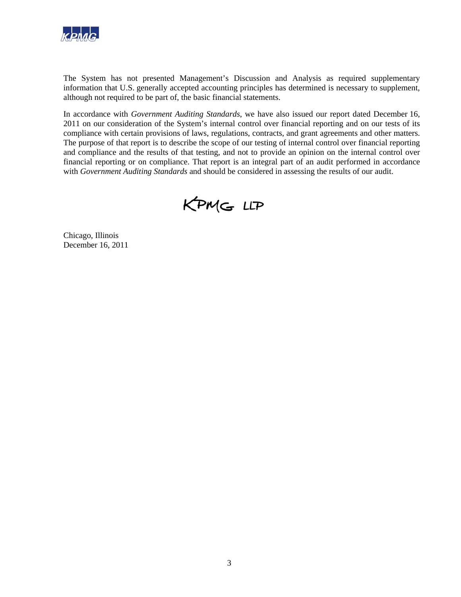

The System has not presented Management's Discussion and Analysis as required supplementary information that U.S. generally accepted accounting principles has determined is necessary to supplement, although not required to be part of, the basic financial statements.

In accordance with *Government Auditing Standards*, we have also issued our report dated December 16, 2011 on our consideration of the System's internal control over financial reporting and on our tests of its compliance with certain provisions of laws, regulations, contracts, and grant agreements and other matters. The purpose of that report is to describe the scope of our testing of internal control over financial reporting and compliance and the results of that testing, and not to provide an opinion on the internal control over financial reporting or on compliance. That report is an integral part of an audit performed in accordance with *Government Auditing Standards* and should be considered in assessing the results of our audit.



Chicago, Illinois December 16, 2011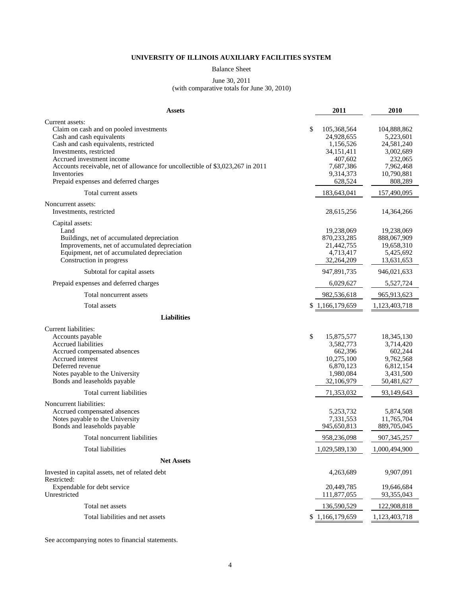Balance Sheet

#### June 30, 2011

(with comparative totals for June 30, 2010)

| Assets                                                                         | 2011                | 2010          |
|--------------------------------------------------------------------------------|---------------------|---------------|
| Current assets:                                                                |                     |               |
| Claim on cash and on pooled investments                                        | \$<br>105,368,564   | 104,888,862   |
| Cash and cash equivalents                                                      | 24,928,655          | 5,223,601     |
| Cash and cash equivalents, restricted                                          | 1,156,526           | 24,581,240    |
| Investments, restricted                                                        | 34, 151, 411        | 3,002,689     |
| Accrued investment income                                                      | 407,602             | 232,065       |
| Accounts receivable, net of allowance for uncollectible of \$3,023,267 in 2011 | 7,687,386           | 7,962,468     |
| Inventories                                                                    | 9,314,373           | 10,790,881    |
| Prepaid expenses and deferred charges                                          | 628,524             | 808,289       |
| Total current assets                                                           | 183,643,041         | 157,490,095   |
| Noncurrent assets:                                                             |                     |               |
| Investments, restricted                                                        | 28,615,256          | 14,364,266    |
| Capital assets:                                                                |                     |               |
| Land                                                                           | 19,238,069          | 19,238,069    |
| Buildings, net of accumulated depreciation                                     | 870,233,285         | 888,067,909   |
| Improvements, net of accumulated depreciation                                  | 21,442,755          | 19,658,310    |
| Equipment, net of accumulated depreciation                                     | 4,713,417           | 5,425,692     |
| Construction in progress                                                       | 32,264,209          | 13,631,653    |
| Subtotal for capital assets                                                    | 947,891,735         | 946,021,633   |
| Prepaid expenses and deferred charges                                          | 6,029,627           | 5,527,724     |
| Total noncurrent assets                                                        | 982,536,618         | 965,913,623   |
| <b>Total assets</b>                                                            | \$<br>1,166,179,659 | 1,123,403,718 |
| <b>Liabilities</b>                                                             |                     |               |
| Current liabilities:                                                           |                     |               |
| Accounts payable                                                               | \$<br>15,875,577    | 18, 345, 130  |
| Accrued liabilities                                                            | 3,582,773           | 3,714,420     |
| Accrued compensated absences                                                   | 662,396             | 602,244       |
| Accrued interest                                                               | 10,275,100          | 9,762,568     |
| Deferred revenue                                                               | 6,870,123           | 6,812,154     |
| Notes payable to the University                                                | 1,980,084           | 3,431,500     |
| Bonds and leaseholds payable                                                   | 32,106,979          | 50,481,627    |
| Total current liabilities                                                      | 71,353,032          | 93,149,643    |
| Noncurrent liabilities:                                                        |                     |               |
| Accrued compensated absences                                                   | 5,253,732           | 5,874,508     |
| Notes payable to the University                                                | 7,331,553           | 11,765,704    |
| Bonds and leaseholds payable                                                   | 945,650,813         | 889,705,045   |
| Total noncurrent liabilities                                                   | 958,236,098         | 907, 345, 257 |
| <b>Total liabilities</b>                                                       | 1,029,589,130       | 1,000,494,900 |
| <b>Net Assets</b>                                                              |                     |               |
| Invested in capital assets, net of related debt                                | 4,263,689           | 9,907,091     |
| Restricted:                                                                    |                     |               |
| Expendable for debt service                                                    | 20,449,785          | 19,646,684    |
| Unrestricted                                                                   | 111,877,055         | 93,355,043    |
| Total net assets                                                               | 136,590,529         | 122,908,818   |
| Total liabilities and net assets                                               | \$1,166,179,659     | 1,123,403,718 |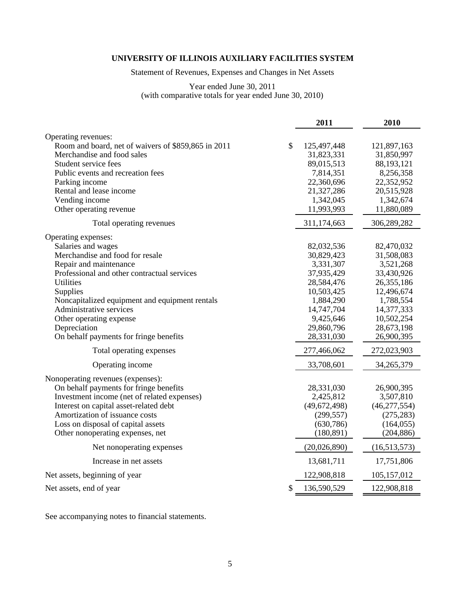Statement of Revenues, Expenses and Changes in Net Assets

#### Year ended June 30, 2011 (with comparative totals for year ended June 30, 2010)

|                                                     | 2011              | 2010           |
|-----------------------------------------------------|-------------------|----------------|
| Operating revenues:                                 |                   |                |
| Room and board, net of waivers of \$859,865 in 2011 | \$<br>125,497,448 | 121,897,163    |
| Merchandise and food sales                          | 31,823,331        | 31,850,997     |
| Student service fees                                | 89,015,513        | 88,193,121     |
| Public events and recreation fees                   | 7,814,351         | 8,256,358      |
| Parking income                                      | 22,360,696        | 22,352,952     |
| Rental and lease income                             | 21,327,286        | 20,515,928     |
| Vending income                                      | 1,342,045         | 1,342,674      |
| Other operating revenue                             | 11,993,993        | 11,880,089     |
| Total operating revenues                            | 311,174,663       | 306,289,282    |
| Operating expenses:                                 |                   |                |
| Salaries and wages                                  | 82,032,536        | 82,470,032     |
| Merchandise and food for resale                     | 30,829,423        | 31,508,083     |
| Repair and maintenance                              | 3,331,307         | 3,521,268      |
| Professional and other contractual services         | 37,935,429        | 33,430,926     |
| <b>Utilities</b>                                    | 28,584,476        | 26, 355, 186   |
| Supplies                                            | 10,503,425        | 12,496,674     |
| Noncapitalized equipment and equipment rentals      | 1,884,290         | 1,788,554      |
| Administrative services                             | 14,747,704        | 14,377,333     |
| Other operating expense                             | 9,425,646         | 10,502,254     |
| Depreciation                                        | 29,860,796        | 28,673,198     |
| On behalf payments for fringe benefits              | 28,331,030        | 26,900,395     |
| Total operating expenses                            | 277,466,062       | 272,023,903    |
| Operating income                                    | 33,708,601        | 34,265,379     |
| Nonoperating revenues (expenses):                   |                   |                |
| On behalf payments for fringe benefits              | 28,331,030        | 26,900,395     |
| Investment income (net of related expenses)         | 2,425,812         | 3,507,810      |
| Interest on capital asset-related debt              | (49,672,498)      | (46, 277, 554) |
| Amortization of issuance costs                      | (299, 557)        | (275, 283)     |
| Loss on disposal of capital assets                  | (630, 786)        | (164, 055)     |
| Other nonoperating expenses, net                    | (180, 891)        | (204, 886)     |
| Net nonoperating expenses                           | (20, 026, 890)    | (16,513,573)   |
| Increase in net assets                              | 13,681,711        | 17,751,806     |
| Net assets, beginning of year                       | 122,908,818       | 105,157,012    |
| Net assets, end of year                             | \$<br>136,590,529 | 122,908,818    |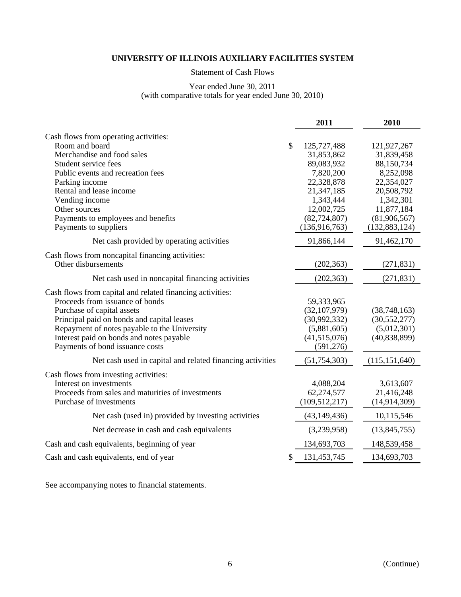#### Statement of Cash Flows

## Year ended June 30, 2011 (with comparative totals for year ended June 30, 2010)

|                                                           | 2011              | 2010            |
|-----------------------------------------------------------|-------------------|-----------------|
| Cash flows from operating activities:                     |                   |                 |
| Room and board                                            | \$<br>125,727,488 | 121,927,267     |
| Merchandise and food sales                                | 31,853,862        | 31,839,458      |
| Student service fees                                      | 89,083,932        | 88,150,734      |
| Public events and recreation fees                         | 7,820,200         | 8,252,098       |
| Parking income                                            | 22,328,878        | 22,354,027      |
| Rental and lease income                                   | 21,347,185        | 20,508,792      |
| Vending income                                            | 1,343,444         | 1,342,301       |
| Other sources                                             | 12,002,725        | 11,877,184      |
| Payments to employees and benefits                        | (82, 724, 807)    | (81,906,567)    |
| Payments to suppliers                                     | (136, 916, 763)   | (132, 883, 124) |
| Net cash provided by operating activities                 | 91,866,144        | 91,462,170      |
| Cash flows from noncapital financing activities:          |                   |                 |
| Other disbursements                                       | (202, 363)        | (271, 831)      |
| Net cash used in noncapital financing activities          | (202, 363)        | (271, 831)      |
| Cash flows from capital and related financing activities: |                   |                 |
| Proceeds from issuance of bonds                           | 59,333,965        |                 |
| Purchase of capital assets                                | (32, 107, 979)    | (38, 748, 163)  |
| Principal paid on bonds and capital leases                | (30,992,332)      | (30, 552, 277)  |
| Repayment of notes payable to the University              | (5,881,605)       | (5,012,301)     |
| Interest paid on bonds and notes payable                  | (41,515,076)      | (40, 838, 899)  |
| Payments of bond issuance costs                           | (591, 276)        |                 |
| Net cash used in capital and related financing activities | (51, 754, 303)    | (115, 151, 640) |
| Cash flows from investing activities:                     |                   |                 |
| Interest on investments                                   | 4,088,204         | 3,613,607       |
| Proceeds from sales and maturities of investments         | 62,274,577        | 21,416,248      |
| Purchase of investments                                   | (109, 512, 217)   | (14, 914, 309)  |
| Net cash (used in) provided by investing activities       | (43, 149, 436)    | 10,115,546      |
| Net decrease in cash and cash equivalents                 | (3,239,958)       | (13,845,755)    |
| Cash and cash equivalents, beginning of year              | 134,693,703       | 148,539,458     |
| Cash and cash equivalents, end of year                    | \$<br>131,453,745 | 134,693,703     |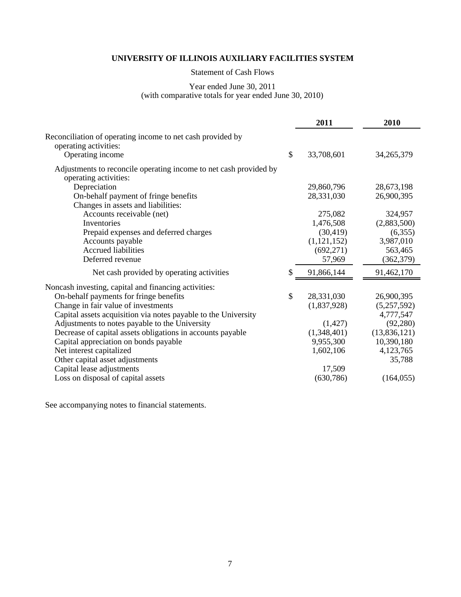Statement of Cash Flows

# Year ended June 30, 2011 (with comparative totals for year ended June 30, 2010)

|                                                                                            |    | 2011          | 2010         |
|--------------------------------------------------------------------------------------------|----|---------------|--------------|
| Reconciliation of operating income to net cash provided by<br>operating activities:        |    |               |              |
| Operating income                                                                           | \$ | 33,708,601    | 34,265,379   |
| Adjustments to reconcile operating income to net cash provided by<br>operating activities: |    |               |              |
| Depreciation                                                                               |    | 29,860,796    | 28,673,198   |
| On-behalf payment of fringe benefits                                                       |    | 28,331,030    | 26,900,395   |
| Changes in assets and liabilities:                                                         |    |               |              |
| Accounts receivable (net)                                                                  |    | 275,082       | 324,957      |
| Inventories                                                                                |    | 1,476,508     | (2,883,500)  |
| Prepaid expenses and deferred charges                                                      |    | (30, 419)     | (6,355)      |
| Accounts payable                                                                           |    | (1, 121, 152) | 3,987,010    |
| <b>Accrued liabilities</b>                                                                 |    | (692, 271)    | 563,465      |
| Deferred revenue                                                                           |    | 57,969        | (362, 379)   |
| Net cash provided by operating activities                                                  | S  | 91,866,144    | 91,462,170   |
| Noncash investing, capital and financing activities:                                       |    |               |              |
| On-behalf payments for fringe benefits                                                     | \$ | 28,331,030    | 26,900,395   |
| Change in fair value of investments                                                        |    | (1,837,928)   | (5,257,592)  |
| Capital assets acquisition via notes payable to the University                             |    |               | 4,777,547    |
| Adjustments to notes payable to the University                                             |    | (1, 427)      | (92, 280)    |
| Decrease of capital assets obligations in accounts payable                                 |    | (1,348,401)   | (13,836,121) |
| Capital appreciation on bonds payable                                                      |    | 9,955,300     | 10,390,180   |
| Net interest capitalized                                                                   |    | 1,602,106     | 4,123,765    |
| Other capital asset adjustments                                                            |    |               | 35,788       |
| Capital lease adjustments                                                                  |    | 17,509        |              |
| Loss on disposal of capital assets                                                         |    | (630, 786)    | (164, 055)   |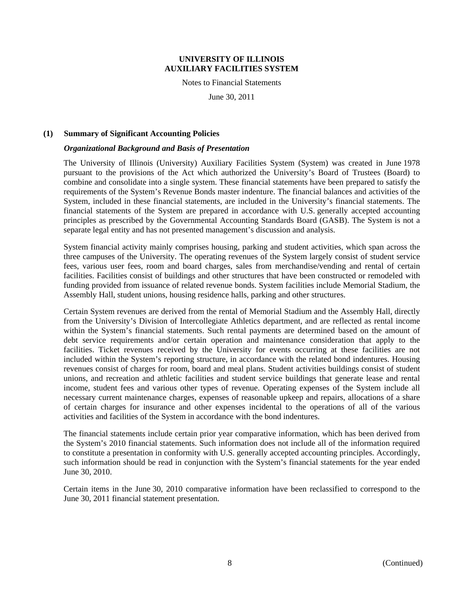Notes to Financial Statements

June 30, 2011

#### **(1) Summary of Significant Accounting Policies**

#### *Organizational Background and Basis of Presentation*

The University of Illinois (University) Auxiliary Facilities System (System) was created in June 1978 pursuant to the provisions of the Act which authorized the University's Board of Trustees (Board) to combine and consolidate into a single system. These financial statements have been prepared to satisfy the requirements of the System's Revenue Bonds master indenture. The financial balances and activities of the System, included in these financial statements, are included in the University's financial statements. The financial statements of the System are prepared in accordance with U.S. generally accepted accounting principles as prescribed by the Governmental Accounting Standards Board (GASB). The System is not a separate legal entity and has not presented management's discussion and analysis.

System financial activity mainly comprises housing, parking and student activities, which span across the three campuses of the University. The operating revenues of the System largely consist of student service fees, various user fees, room and board charges, sales from merchandise/vending and rental of certain facilities. Facilities consist of buildings and other structures that have been constructed or remodeled with funding provided from issuance of related revenue bonds. System facilities include Memorial Stadium, the Assembly Hall, student unions, housing residence halls, parking and other structures.

Certain System revenues are derived from the rental of Memorial Stadium and the Assembly Hall, directly from the University's Division of Intercollegiate Athletics department, and are reflected as rental income within the System's financial statements. Such rental payments are determined based on the amount of debt service requirements and/or certain operation and maintenance consideration that apply to the facilities. Ticket revenues received by the University for events occurring at these facilities are not included within the System's reporting structure, in accordance with the related bond indentures. Housing revenues consist of charges for room, board and meal plans. Student activities buildings consist of student unions, and recreation and athletic facilities and student service buildings that generate lease and rental income, student fees and various other types of revenue. Operating expenses of the System include all necessary current maintenance charges, expenses of reasonable upkeep and repairs, allocations of a share of certain charges for insurance and other expenses incidental to the operations of all of the various activities and facilities of the System in accordance with the bond indentures.

The financial statements include certain prior year comparative information, which has been derived from the System's 2010 financial statements. Such information does not include all of the information required to constitute a presentation in conformity with U.S. generally accepted accounting principles. Accordingly, such information should be read in conjunction with the System's financial statements for the year ended June 30, 2010.

Certain items in the June 30, 2010 comparative information have been reclassified to correspond to the June 30, 2011 financial statement presentation.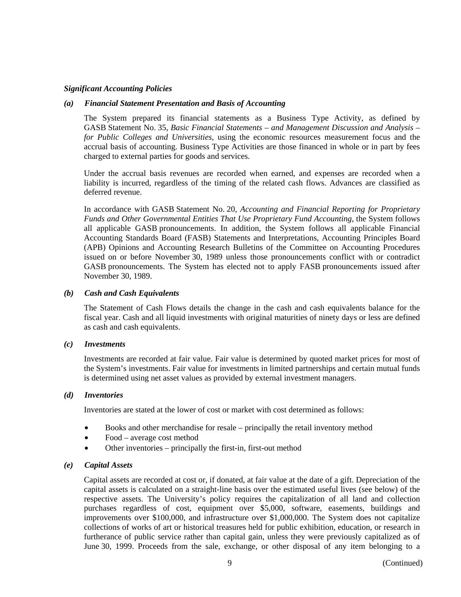#### *Significant Accounting Policies*

#### *(a) Financial Statement Presentation and Basis of Accounting*

The System prepared its financial statements as a Business Type Activity, as defined by GASB Statement No. 35, *Basic Financial Statements – and Management Discussion and Analysis – for Public Colleges and Universities*, using the economic resources measurement focus and the accrual basis of accounting. Business Type Activities are those financed in whole or in part by fees charged to external parties for goods and services.

Under the accrual basis revenues are recorded when earned, and expenses are recorded when a liability is incurred, regardless of the timing of the related cash flows. Advances are classified as deferred revenue.

In accordance with GASB Statement No. 20, *Accounting and Financial Reporting for Proprietary Funds and Other Governmental Entities That Use Proprietary Fund Accounting*, the System follows all applicable GASB pronouncements. In addition, the System follows all applicable Financial Accounting Standards Board (FASB) Statements and Interpretations, Accounting Principles Board (APB) Opinions and Accounting Research Bulletins of the Committee on Accounting Procedures issued on or before November 30, 1989 unless those pronouncements conflict with or contradict GASB pronouncements. The System has elected not to apply FASB pronouncements issued after November 30, 1989.

#### *(b) Cash and Cash Equivalents*

The Statement of Cash Flows details the change in the cash and cash equivalents balance for the fiscal year. Cash and all liquid investments with original maturities of ninety days or less are defined as cash and cash equivalents.

#### *(c) Investments*

Investments are recorded at fair value. Fair value is determined by quoted market prices for most of the System's investments. Fair value for investments in limited partnerships and certain mutual funds is determined using net asset values as provided by external investment managers.

#### *(d) Inventories*

Inventories are stated at the lower of cost or market with cost determined as follows:

- Books and other merchandise for resale principally the retail inventory method
- Food average cost method
- Other inventories principally the first-in, first-out method

#### *(e) Capital Assets*

Capital assets are recorded at cost or, if donated, at fair value at the date of a gift. Depreciation of the capital assets is calculated on a straight-line basis over the estimated useful lives (see below) of the respective assets. The University's policy requires the capitalization of all land and collection purchases regardless of cost, equipment over \$5,000, software, easements, buildings and improvements over \$100,000, and infrastructure over \$1,000,000. The System does not capitalize collections of works of art or historical treasures held for public exhibition, education, or research in furtherance of public service rather than capital gain, unless they were previously capitalized as of June 30, 1999. Proceeds from the sale, exchange, or other disposal of any item belonging to a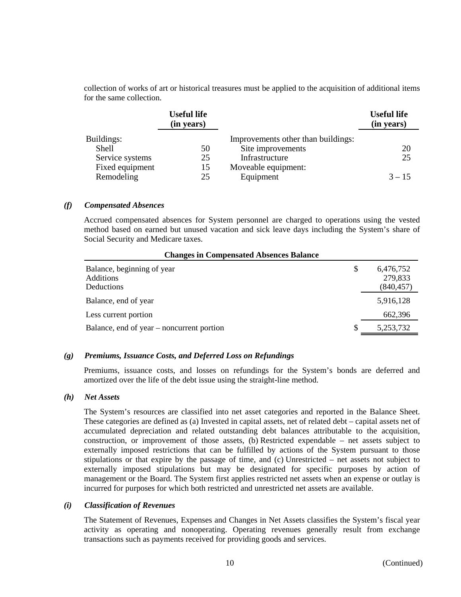collection of works of art or historical treasures must be applied to the acquisition of additional items for the same collection.

|                               | <b>Useful life</b><br>(in years) |                                    | <b>Useful life</b><br>(in years) |
|-------------------------------|----------------------------------|------------------------------------|----------------------------------|
| Buildings:                    |                                  | Improvements other than buildings: |                                  |
| <b>Shell</b>                  | 50                               | Site improvements                  | 20                               |
| Service systems               | 25                               | Infrastructure                     | 25                               |
| Fixed equipment<br>Remodeling | 15<br>25                         | Moveable equipment:<br>Equipment   | $3 - 15$                         |

#### *(f) Compensated Absences*

Accrued compensated absences for System personnel are charged to operations using the vested method based on earned but unused vacation and sick leave days including the System's share of Social Security and Medicare taxes.

| <b>Changes in Compensated Absences Balance</b>               |   |                                    |  |  |  |  |
|--------------------------------------------------------------|---|------------------------------------|--|--|--|--|
| Balance, beginning of year<br><b>Additions</b><br>Deductions | S | 6,476,752<br>279,833<br>(840, 457) |  |  |  |  |
| Balance, end of year                                         |   | 5,916,128                          |  |  |  |  |
| Less current portion                                         |   | 662,396                            |  |  |  |  |
| Balance, end of year – noncurrent portion                    | S | 5,253,732                          |  |  |  |  |

#### *(g) Premiums, Issuance Costs, and Deferred Loss on Refundings*

Premiums, issuance costs, and losses on refundings for the System's bonds are deferred and amortized over the life of the debt issue using the straight-line method.

#### *(h) Net Assets*

The System's resources are classified into net asset categories and reported in the Balance Sheet. These categories are defined as (a) Invested in capital assets, net of related debt – capital assets net of accumulated depreciation and related outstanding debt balances attributable to the acquisition, construction, or improvement of those assets, (b) Restricted expendable – net assets subject to externally imposed restrictions that can be fulfilled by actions of the System pursuant to those stipulations or that expire by the passage of time, and (c) Unrestricted – net assets not subject to externally imposed stipulations but may be designated for specific purposes by action of management or the Board. The System first applies restricted net assets when an expense or outlay is incurred for purposes for which both restricted and unrestricted net assets are available.

#### *(i) Classification of Revenues*

The Statement of Revenues, Expenses and Changes in Net Assets classifies the System's fiscal year activity as operating and nonoperating. Operating revenues generally result from exchange transactions such as payments received for providing goods and services.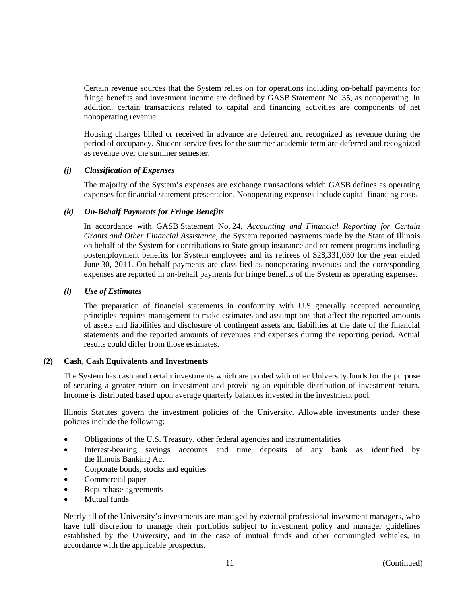Certain revenue sources that the System relies on for operations including on-behalf payments for fringe benefits and investment income are defined by GASB Statement No. 35, as nonoperating. In addition, certain transactions related to capital and financing activities are components of net nonoperating revenue.

Housing charges billed or received in advance are deferred and recognized as revenue during the period of occupancy. Student service fees for the summer academic term are deferred and recognized as revenue over the summer semester.

#### *(j) Classification of Expenses*

The majority of the System's expenses are exchange transactions which GASB defines as operating expenses for financial statement presentation. Nonoperating expenses include capital financing costs.

#### *(k) On-Behalf Payments for Fringe Benefits*

In accordance with GASB Statement No. 24, *Accounting and Financial Reporting for Certain Grants and Other Financial Assistance*, the System reported payments made by the State of Illinois on behalf of the System for contributions to State group insurance and retirement programs including postemployment benefits for System employees and its retirees of \$28,331,030 for the year ended June 30, 2011. On-behalf payments are classified as nonoperating revenues and the corresponding expenses are reported in on-behalf payments for fringe benefits of the System as operating expenses.

## *(l) Use of Estimates*

The preparation of financial statements in conformity with U.S. generally accepted accounting principles requires management to make estimates and assumptions that affect the reported amounts of assets and liabilities and disclosure of contingent assets and liabilities at the date of the financial statements and the reported amounts of revenues and expenses during the reporting period. Actual results could differ from those estimates.

#### **(2) Cash, Cash Equivalents and Investments**

The System has cash and certain investments which are pooled with other University funds for the purpose of securing a greater return on investment and providing an equitable distribution of investment return. Income is distributed based upon average quarterly balances invested in the investment pool.

Illinois Statutes govern the investment policies of the University. Allowable investments under these policies include the following:

- Obligations of the U.S. Treasury, other federal agencies and instrumentalities
- Interest-bearing savings accounts and time deposits of any bank as identified by the Illinois Banking Act
- Corporate bonds, stocks and equities
- Commercial paper
- Repurchase agreements
- Mutual funds

Nearly all of the University's investments are managed by external professional investment managers, who have full discretion to manage their portfolios subject to investment policy and manager guidelines established by the University, and in the case of mutual funds and other commingled vehicles, in accordance with the applicable prospectus.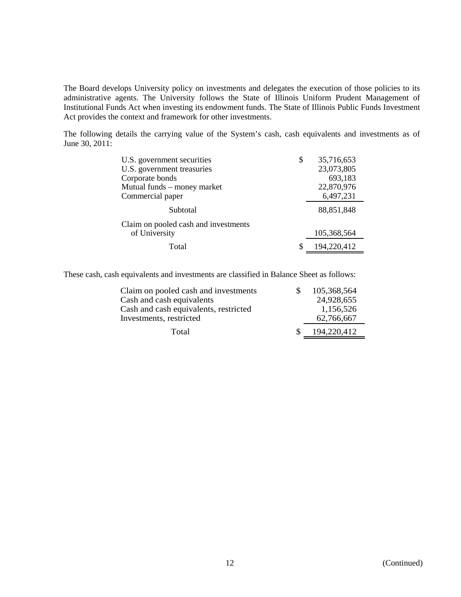The Board develops University policy on investments and delegates the execution of those policies to its administrative agents. The University follows the State of Illinois Uniform Prudent Management of Institutional Funds Act when investing its endowment funds. The State of Illinois Public Funds Investment Act provides the context and framework for other investments.

The following details the carrying value of the System's cash, cash equivalents and investments as of June 30, 2011:

| U.S. government securities           | \$  | 35,716,653  |
|--------------------------------------|-----|-------------|
| U.S. government treasuries           |     | 23,073,805  |
| Corporate bonds                      |     | 693,183     |
| Mutual funds – money market          |     | 22,870,976  |
| Commercial paper                     |     | 6,497,231   |
| Subtotal                             |     | 88,851,848  |
| Claim on pooled cash and investments |     |             |
| of University                        |     | 105,368,564 |
| Total                                | \$. | 194,220,412 |

These cash, cash equivalents and investments are classified in Balance Sheet as follows:

| Claim on pooled cash and investments<br>Cash and cash equivalents | 105,368,564<br>24,928,655 |
|-------------------------------------------------------------------|---------------------------|
| Cash and cash equivalents, restricted<br>Investments, restricted  | 1,156,526<br>62,766,667   |
| Total                                                             | 194,220,412               |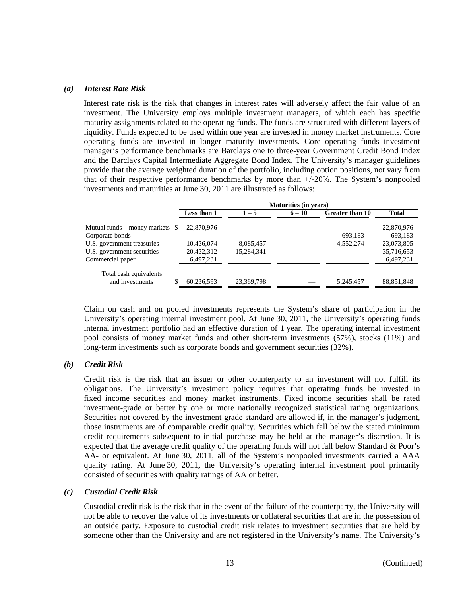#### *(a) Interest Rate Risk*

Interest rate risk is the risk that changes in interest rates will adversely affect the fair value of an investment. The University employs multiple investment managers, of which each has specific maturity assignments related to the operating funds. The funds are structured with different layers of liquidity. Funds expected to be used within one year are invested in money market instruments. Core operating funds are invested in longer maturity investments. Core operating funds investment manager's performance benchmarks are Barclays one to three-year Government Credit Bond Index and the Barclays Capital Intermediate Aggregate Bond Index. The University's manager guidelines provide that the average weighted duration of the portfolio, including option positions, not vary from that of their respective performance benchmarks by more than +/-20%. The System's nonpooled investments and maturities at June 30, 2011 are illustrated as follows:

|                                  | <b>Maturities (in years)</b> |            |          |                 |              |  |
|----------------------------------|------------------------------|------------|----------|-----------------|--------------|--|
|                                  | Less than 1                  | $1 - 5$    | $6 - 10$ | Greater than 10 | <b>Total</b> |  |
| Mutual funds – money markets $\$ | 22,870,976                   |            |          |                 | 22,870,976   |  |
| Corporate bonds                  |                              |            |          | 693,183         | 693,183      |  |
| U.S. government treasuries       | 10,436,074                   | 8,085,457  |          | 4,552,274       | 23,073,805   |  |
| U.S. government securities       | 20,432,312                   | 15,284,341 |          |                 | 35,716,653   |  |
| Commercial paper                 | 6,497,231                    |            |          |                 | 6,497,231    |  |
| Total cash equivalents           |                              |            |          |                 |              |  |
| and investments<br>\$            | 60,236,593                   | 23,369,798 |          | 5,245,457       | 88,851,848   |  |

Claim on cash and on pooled investments represents the System's share of participation in the University's operating internal investment pool. At June 30, 2011, the University's operating funds internal investment portfolio had an effective duration of 1 year. The operating internal investment pool consists of money market funds and other short-term investments (57%), stocks (11%) and long-term investments such as corporate bonds and government securities (32%).

#### *(b) Credit Risk*

Credit risk is the risk that an issuer or other counterparty to an investment will not fulfill its obligations. The University's investment policy requires that operating funds be invested in fixed income securities and money market instruments. Fixed income securities shall be rated investment-grade or better by one or more nationally recognized statistical rating organizations. Securities not covered by the investment-grade standard are allowed if, in the manager's judgment, those instruments are of comparable credit quality. Securities which fall below the stated minimum credit requirements subsequent to initial purchase may be held at the manager's discretion. It is expected that the average credit quality of the operating funds will not fall below Standard & Poor's AA- or equivalent. At June 30, 2011, all of the System's nonpooled investments carried a AAA quality rating. At June 30, 2011, the University's operating internal investment pool primarily consisted of securities with quality ratings of AA or better.

## *(c) Custodial Credit Risk*

Custodial credit risk is the risk that in the event of the failure of the counterparty, the University will not be able to recover the value of its investments or collateral securities that are in the possession of an outside party. Exposure to custodial credit risk relates to investment securities that are held by someone other than the University and are not registered in the University's name. The University's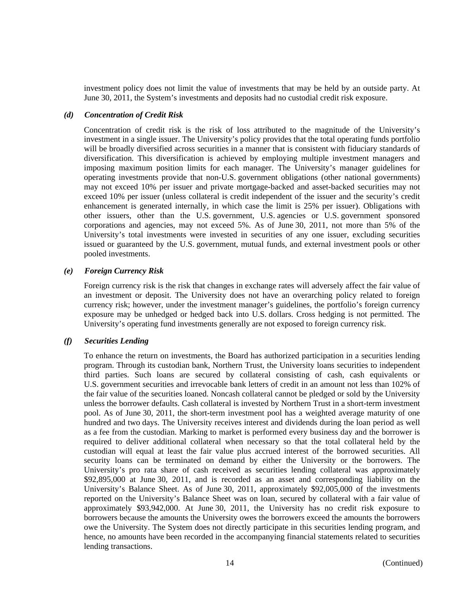investment policy does not limit the value of investments that may be held by an outside party. At June 30, 2011, the System's investments and deposits had no custodial credit risk exposure.

#### *(d) Concentration of Credit Risk*

Concentration of credit risk is the risk of loss attributed to the magnitude of the University's investment in a single issuer. The University's policy provides that the total operating funds portfolio will be broadly diversified across securities in a manner that is consistent with fiduciary standards of diversification. This diversification is achieved by employing multiple investment managers and imposing maximum position limits for each manager. The University's manager guidelines for operating investments provide that non-U.S. government obligations (other national governments) may not exceed 10% per issuer and private mortgage-backed and asset-backed securities may not exceed 10% per issuer (unless collateral is credit independent of the issuer and the security's credit enhancement is generated internally, in which case the limit is 25% per issuer). Obligations with other issuers, other than the U.S. government, U.S. agencies or U.S. government sponsored corporations and agencies, may not exceed 5%. As of June 30, 2011, not more than 5% of the University's total investments were invested in securities of any one issuer, excluding securities issued or guaranteed by the U.S. government, mutual funds, and external investment pools or other pooled investments.

#### *(e) Foreign Currency Risk*

Foreign currency risk is the risk that changes in exchange rates will adversely affect the fair value of an investment or deposit. The University does not have an overarching policy related to foreign currency risk; however, under the investment manager's guidelines, the portfolio's foreign currency exposure may be unhedged or hedged back into U.S. dollars. Cross hedging is not permitted. The University's operating fund investments generally are not exposed to foreign currency risk.

## *(f) Securities Lending*

To enhance the return on investments, the Board has authorized participation in a securities lending program. Through its custodian bank, Northern Trust, the University loans securities to independent third parties. Such loans are secured by collateral consisting of cash, cash equivalents or U.S. government securities and irrevocable bank letters of credit in an amount not less than 102% of the fair value of the securities loaned. Noncash collateral cannot be pledged or sold by the University unless the borrower defaults. Cash collateral is invested by Northern Trust in a short-term investment pool. As of June 30, 2011, the short-term investment pool has a weighted average maturity of one hundred and two days. The University receives interest and dividends during the loan period as well as a fee from the custodian. Marking to market is performed every business day and the borrower is required to deliver additional collateral when necessary so that the total collateral held by the custodian will equal at least the fair value plus accrued interest of the borrowed securities. All security loans can be terminated on demand by either the University or the borrowers. The University's pro rata share of cash received as securities lending collateral was approximately \$92,895,000 at June 30, 2011, and is recorded as an asset and corresponding liability on the University's Balance Sheet. As of June 30, 2011, approximately \$92,005,000 of the investments reported on the University's Balance Sheet was on loan, secured by collateral with a fair value of approximately \$93,942,000. At June 30, 2011, the University has no credit risk exposure to borrowers because the amounts the University owes the borrowers exceed the amounts the borrowers owe the University. The System does not directly participate in this securities lending program, and hence, no amounts have been recorded in the accompanying financial statements related to securities lending transactions.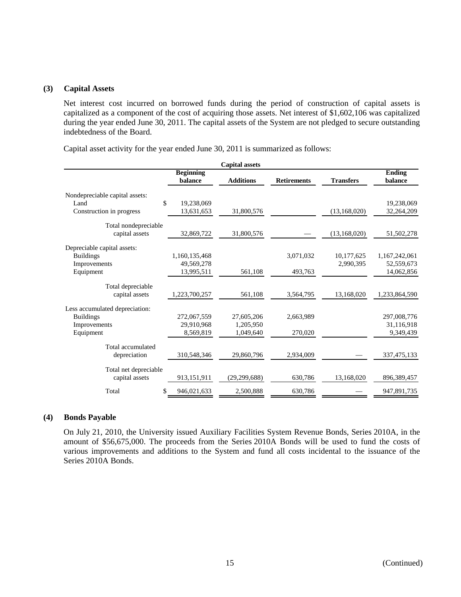#### **(3) Capital Assets**

Net interest cost incurred on borrowed funds during the period of construction of capital assets is capitalized as a component of the cost of acquiring those assets. Net interest of \$1,602,106 was capitalized during the year ended June 30, 2011. The capital assets of the System are not pledged to secure outstanding indebtedness of the Board.

Capital asset activity for the year ended June 30, 2011 is summarized as follows:

|                                |                  | <b>Capital assets</b> |                    |                  |               |
|--------------------------------|------------------|-----------------------|--------------------|------------------|---------------|
|                                | <b>Beginning</b> |                       |                    |                  | <b>Ending</b> |
|                                | balance          | <b>Additions</b>      | <b>Retirements</b> | <b>Transfers</b> | balance       |
| Nondepreciable capital assets: |                  |                       |                    |                  |               |
| \$<br>Land                     | 19,238,069       |                       |                    |                  | 19,238,069    |
| Construction in progress       | 13,631,653       | 31,800,576            |                    | (13, 168, 020)   | 32,264,209    |
| Total nondepreciable           |                  |                       |                    |                  |               |
| capital assets                 | 32,869,722       | 31,800,576            |                    | (13, 168, 020)   | 51,502,278    |
| Depreciable capital assets:    |                  |                       |                    |                  |               |
| <b>Buildings</b>               | 1,160,135,468    |                       | 3,071,032          | 10,177,625       | 1,167,242,061 |
| Improvements                   | 49,569,278       |                       |                    | 2,990,395        | 52,559,673    |
| Equipment                      | 13,995,511       | 561,108               | 493,763            |                  | 14,062,856    |
| Total depreciable              |                  |                       |                    |                  |               |
| capital assets                 | 1,223,700,257    | 561,108               | 3,564,795          | 13,168,020       | 1,233,864,590 |
| Less accumulated depreciation: |                  |                       |                    |                  |               |
| <b>Buildings</b>               | 272,067,559      | 27,605,206            | 2,663,989          |                  | 297,008,776   |
| Improvements                   | 29,910,968       | 1,205,950             |                    |                  | 31,116,918    |
| Equipment                      | 8,569,819        | 1,049,640             | 270,020            |                  | 9,349,439     |
| Total accumulated              |                  |                       |                    |                  |               |
| depreciation                   | 310,548,346      | 29,860,796            | 2,934,009          |                  | 337,475,133   |
| Total net depreciable          |                  |                       |                    |                  |               |
| capital assets                 | 913,151,911      | (29, 299, 688)        | 630,786            | 13,168,020       | 896,389,457   |
| Total<br>\$                    | 946,021,633      | 2,500,888             | 630,786            |                  | 947,891,735   |

#### **(4) Bonds Payable**

On July 21, 2010, the University issued Auxiliary Facilities System Revenue Bonds, Series 2010A, in the amount of \$56,675,000. The proceeds from the Series 2010A Bonds will be used to fund the costs of various improvements and additions to the System and fund all costs incidental to the issuance of the Series 2010A Bonds.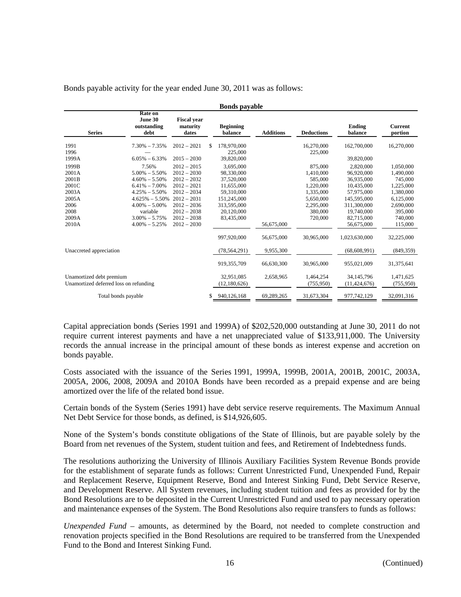| <b>Bonds payable</b>                                               |                                                                                                                                                  |                                                                                                                                      |   |                                                                                                               |                  |                                                                                                |                                                                                                               |                                                                                                  |
|--------------------------------------------------------------------|--------------------------------------------------------------------------------------------------------------------------------------------------|--------------------------------------------------------------------------------------------------------------------------------------|---|---------------------------------------------------------------------------------------------------------------|------------------|------------------------------------------------------------------------------------------------|---------------------------------------------------------------------------------------------------------------|--------------------------------------------------------------------------------------------------|
| <b>Series</b>                                                      | Rate on<br>June 30<br>outstanding<br>debt                                                                                                        | <b>Fiscal vear</b><br>maturity<br>dates                                                                                              |   | <b>Beginning</b><br>balance                                                                                   | <b>Additions</b> | <b>Deductions</b>                                                                              | <b>Ending</b><br>balance                                                                                      | <b>Current</b><br>portion                                                                        |
| 1991<br>1996<br>1999A                                              | $7.30\% - 7.35\%$<br>$6.05\% - 6.33\%$                                                                                                           | $2012 - 2021$<br>$2015 - 2030$                                                                                                       | S | 178,970,000<br>225,000<br>39,820,000                                                                          |                  | 16.270,000<br>225,000                                                                          | 162,700,000<br>39,820,000                                                                                     | 16,270,000                                                                                       |
| 1999B<br>2001A<br>2001B<br>2001C<br>2003A<br>2005A<br>2006<br>2008 | 7.56%<br>$5.00\% - 5.50\%$<br>$4.60\% - 5.50\%$<br>$6.41\% - 7.00\%$<br>$4.25\% - 5.50\%$<br>$4.625\% - 5.50\%$<br>$4.00\% - 5.00\%$<br>variable | $2012 - 2015$<br>$2012 - 2030$<br>$2012 - 2032$<br>$2012 - 2021$<br>$2012 - 2034$<br>$2012 - 2031$<br>$2012 - 2036$<br>$2012 - 2038$ |   | 3,695,000<br>98.330,000<br>37,520,000<br>11.655.000<br>59.310,000<br>151,245,000<br>313,595,000<br>20,120,000 |                  | 875,000<br>1.410.000<br>585,000<br>1,220,000<br>1,335,000<br>5,650,000<br>2,295,000<br>380,000 | 2,820,000<br>96.920.000<br>36,935,000<br>10,435,000<br>57,975,000<br>145,595,000<br>311.300.000<br>19,740,000 | 1,050,000<br>1.490.000<br>745,000<br>1,225,000<br>1,380,000<br>6,125,000<br>2,690,000<br>395,000 |
| 2009A<br>2010A                                                     | $3.00\% - 5.75\%$<br>$4.00\% - 5.25\%$                                                                                                           | $2012 - 2038$<br>$2012 - 2030$                                                                                                       |   | 83,435,000                                                                                                    | 56,675,000       | 720,000                                                                                        | 82,715,000<br>56,675,000                                                                                      | 740,000<br>115,000                                                                               |
|                                                                    |                                                                                                                                                  |                                                                                                                                      |   | 997,920,000                                                                                                   | 56,675,000       | 30,965,000                                                                                     | 1,023,630,000                                                                                                 | 32,225,000                                                                                       |
| Unaccreted appreciation                                            |                                                                                                                                                  |                                                                                                                                      |   | (78, 564, 291)                                                                                                | 9,955,300        |                                                                                                | (68,608,991)                                                                                                  | (849, 359)                                                                                       |
|                                                                    |                                                                                                                                                  |                                                                                                                                      |   | 919.355.709                                                                                                   | 66,630,300       | 30,965,000                                                                                     | 955,021,009                                                                                                   | 31,375,641                                                                                       |
| Unamortized debt premium<br>Unamortized deferred loss on refunding |                                                                                                                                                  |                                                                                                                                      |   | 32,951,085<br>(12, 180, 626)                                                                                  | 2,658,965        | 1,464,254<br>(755, 950)                                                                        | 34, 145, 796<br>(11, 424, 676)                                                                                | 1,471,625<br>(755, 950)                                                                          |
| Total bonds payable                                                |                                                                                                                                                  |                                                                                                                                      |   | 940,126,168                                                                                                   | 69,289,265       | 31,673,304                                                                                     | 977,742,129                                                                                                   | 32,091,316                                                                                       |

Bonds payable activity for the year ended June 30, 2011 was as follows:

Capital appreciation bonds (Series 1991 and 1999A) of \$202,520,000 outstanding at June 30, 2011 do not require current interest payments and have a net unappreciated value of \$133,911,000. The University records the annual increase in the principal amount of these bonds as interest expense and accretion on bonds payable.

Costs associated with the issuance of the Series 1991, 1999A, 1999B, 2001A, 2001B, 2001C, 2003A, 2005A, 2006, 2008, 2009A and 2010A Bonds have been recorded as a prepaid expense and are being amortized over the life of the related bond issue.

Certain bonds of the System (Series 1991) have debt service reserve requirements. The Maximum Annual Net Debt Service for those bonds, as defined, is \$14,926,605.

None of the System's bonds constitute obligations of the State of Illinois, but are payable solely by the Board from net revenues of the System, student tuition and fees, and Retirement of Indebtedness funds.

The resolutions authorizing the University of Illinois Auxiliary Facilities System Revenue Bonds provide for the establishment of separate funds as follows: Current Unrestricted Fund, Unexpended Fund, Repair and Replacement Reserve, Equipment Reserve, Bond and Interest Sinking Fund, Debt Service Reserve, and Development Reserve. All System revenues, including student tuition and fees as provided for by the Bond Resolutions are to be deposited in the Current Unrestricted Fund and used to pay necessary operation and maintenance expenses of the System. The Bond Resolutions also require transfers to funds as follows:

*Unexpended Fund* – amounts, as determined by the Board, not needed to complete construction and renovation projects specified in the Bond Resolutions are required to be transferred from the Unexpended Fund to the Bond and Interest Sinking Fund.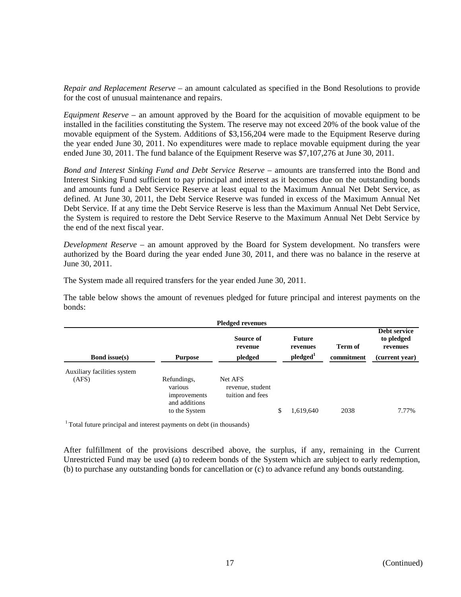*Repair and Replacement Reserve* – an amount calculated as specified in the Bond Resolutions to provide for the cost of unusual maintenance and repairs.

*Equipment Reserve* – an amount approved by the Board for the acquisition of movable equipment to be installed in the facilities constituting the System. The reserve may not exceed 20% of the book value of the movable equipment of the System. Additions of \$3,156,204 were made to the Equipment Reserve during the year ended June 30, 2011. No expenditures were made to replace movable equipment during the year ended June 30, 2011. The fund balance of the Equipment Reserve was \$7,107,276 at June 30, 2011.

*Bond and Interest Sinking Fund and Debt Service Reserve* – amounts are transferred into the Bond and Interest Sinking Fund sufficient to pay principal and interest as it becomes due on the outstanding bonds and amounts fund a Debt Service Reserve at least equal to the Maximum Annual Net Debt Service, as defined. At June 30, 2011, the Debt Service Reserve was funded in excess of the Maximum Annual Net Debt Service. If at any time the Debt Service Reserve is less than the Maximum Annual Net Debt Service, the System is required to restore the Debt Service Reserve to the Maximum Annual Net Debt Service by the end of the next fiscal year.

*Development Reserve* – an amount approved by the Board for System development. No transfers were authorized by the Board during the year ended June 30, 2011, and there was no balance in the reserve at June 30, 2011.

The System made all required transfers for the year ended June 30, 2011.

The table below shows the amount of revenues pledged for future principal and interest payments on the bonds:

| <b>Pledged revenues</b>              |                                                                          |                                                 |    |                                                   |                       |                                                          |  |
|--------------------------------------|--------------------------------------------------------------------------|-------------------------------------------------|----|---------------------------------------------------|-----------------------|----------------------------------------------------------|--|
| <b>Bond issue(s)</b>                 | <b>Purpose</b>                                                           | Source of<br>revenue<br>pledged                 |    | <b>Future</b><br>revenues<br>pledged <sup>1</sup> | Term of<br>commitment | Debt service<br>to pledged<br>revenues<br>(current year) |  |
| Auxiliary facilities system<br>(AFS) | Refundings,<br>various<br>improvements<br>and additions<br>to the System | Net AFS<br>revenue, student<br>tuition and fees | \$ | 1,619,640                                         | 2038                  | 7.77%                                                    |  |

 $1$  Total future principal and interest payments on debt (in thousands)

After fulfillment of the provisions described above, the surplus, if any, remaining in the Current Unrestricted Fund may be used (a) to redeem bonds of the System which are subject to early redemption, (b) to purchase any outstanding bonds for cancellation or (c) to advance refund any bonds outstanding.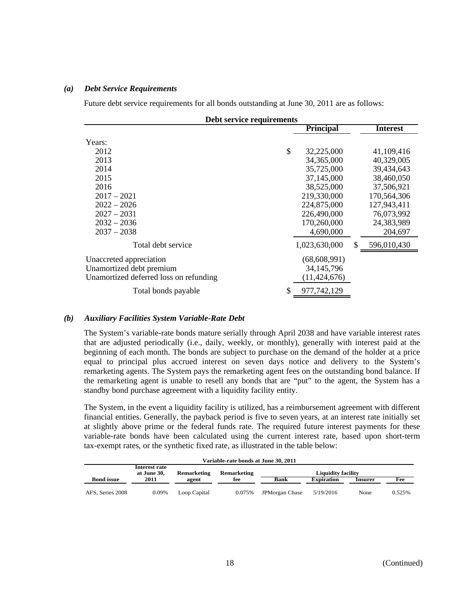#### *(a) Debt Service Requirements*

Future debt service requirements for all bonds outstanding at June 30, 2011 are as follows:

| Debt service requirements              |    |                  |     |                 |  |  |  |
|----------------------------------------|----|------------------|-----|-----------------|--|--|--|
|                                        |    | <b>Principal</b> |     | <b>Interest</b> |  |  |  |
| Years:                                 |    |                  |     |                 |  |  |  |
| 2012                                   | \$ | 32,225,000       |     | 41,109,416      |  |  |  |
| 2013                                   |    | 34, 365, 000     |     | 40,329,005      |  |  |  |
| 2014                                   |    | 35,725,000       |     | 39,434,643      |  |  |  |
| 2015                                   |    | 37,145,000       |     | 38,460,050      |  |  |  |
| 2016                                   |    | 38,525,000       |     | 37,506,921      |  |  |  |
| $2017 - 2021$                          |    | 219,330,000      |     | 170,564,306     |  |  |  |
| $2022 - 2026$                          |    | 224,875,000      |     | 127,943,411     |  |  |  |
| $2027 - 2031$                          |    | 226,490,000      |     | 76,073,992      |  |  |  |
| $2032 - 2036$                          |    | 170,260,000      |     | 24,383,989      |  |  |  |
| $2037 - 2038$                          |    | 4,690,000        |     | 204,697         |  |  |  |
| Total debt service                     |    | 1,023,630,000    | \$. | 596,010,430     |  |  |  |
| Unaccreted appreciation                |    | (68, 608, 991)   |     |                 |  |  |  |
| Unamortized debt premium               |    | 34, 145, 796     |     |                 |  |  |  |
| Unamortized deferred loss on refunding |    | (11, 424, 676)   |     |                 |  |  |  |
| Total bonds payable                    | \$ | 977, 742, 129    |     |                 |  |  |  |

#### *(b) Auxiliary Facilities System Variable-Rate Debt*

The System's variable-rate bonds mature serially through April 2038 and have variable interest rates that are adjusted periodically (i.e., daily, weekly, or monthly), generally with interest paid at the beginning of each month. The bonds are subject to purchase on the demand of the holder at a price equal to principal plus accrued interest on seven days notice and delivery to the System's remarketing agents. The System pays the remarketing agent fees on the outstanding bond balance. If the remarketing agent is unable to resell any bonds that are "put" to the agent, the System has a standby bond purchase agreement with a liquidity facility entity.

The System, in the event a liquidity facility is utilized, has a reimbursement agreement with different financial entities. Generally, the payback period is five to seven years, at an interest rate initially set at slightly above prime or the federal funds rate. The required future interest payments for these variable-rate bonds have been calculated using the current interest rate, based upon short-term tax-exempt rates, or the synthetic fixed rate, as illustrated in the table below:

| Variable-rate bonds at June 30, 2011 |                              |                    |             |                           |                   |                |        |  |  |
|--------------------------------------|------------------------------|--------------------|-------------|---------------------------|-------------------|----------------|--------|--|--|
|                                      | Interest rate<br>at June 30, | <b>Remarketing</b> | Remarketing | <b>Liquidity facility</b> |                   |                |        |  |  |
| <b>Bond</b> issue                    | 2011                         | agent              | fee         | Bank                      | <b>Expiration</b> | <b>Insurer</b> | Fee    |  |  |
| AFS, Series 2008                     | 0.09%                        | Loop Capital       | 0.075%      | JPMorgan Chase            | 5/19/2016         | None           | 0.525% |  |  |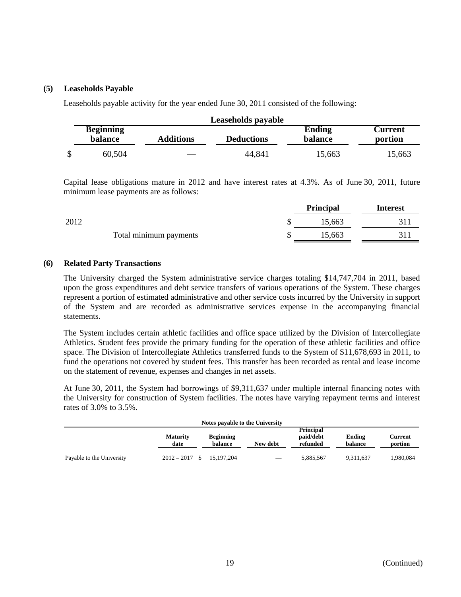#### **(5) Leaseholds Payable**

Leaseholds payable activity for the year ended June 30, 2011 consisted of the following:

| Leaseholds payable |                                    |                  |                   |                   |                    |  |  |  |  |
|--------------------|------------------------------------|------------------|-------------------|-------------------|--------------------|--|--|--|--|
|                    | <b>Beginning</b><br><b>balance</b> | <b>Additions</b> | <b>Deductions</b> | Ending<br>balance | Current<br>portion |  |  |  |  |
| ሖ                  | 60,504                             | __               | 44,841            | 15,663            | 15,663             |  |  |  |  |

Capital lease obligations mature in 2012 and have interest rates at 4.3%. As of June 30, 2011, future minimum lease payments are as follows:

|      |                        | <b>Principal</b> | Interest |
|------|------------------------|------------------|----------|
| 2012 |                        | 15,663           |          |
|      | Total minimum payments | 15,663           |          |

#### **(6) Related Party Transactions**

The University charged the System administrative service charges totaling \$14,747,704 in 2011, based upon the gross expenditures and debt service transfers of various operations of the System. These charges represent a portion of estimated administrative and other service costs incurred by the University in support of the System and are recorded as administrative services expense in the accompanying financial statements.

The System includes certain athletic facilities and office space utilized by the Division of Intercollegiate Athletics. Student fees provide the primary funding for the operation of these athletic facilities and office space. The Division of Intercollegiate Athletics transferred funds to the System of \$11,678,693 in 2011, to fund the operations not covered by student fees. This transfer has been recorded as rental and lease income on the statement of revenue, expenses and changes in net assets.

At June 30, 2011, the System had borrowings of \$9,311,637 under multiple internal financing notes with the University for construction of System facilities. The notes have varying repayment terms and interest rates of 3.0% to 3.5%.

| Notes payable to the University |                         |                             |          |                                           |                   |                    |
|---------------------------------|-------------------------|-----------------------------|----------|-------------------------------------------|-------------------|--------------------|
|                                 | <b>Maturity</b><br>date | <b>Beginning</b><br>balance | New debt | <b>Principal</b><br>paid/debt<br>refunded | Ending<br>balance | Current<br>portion |
| Payable to the University       | $2012 - 2017$ \$        | 15.197.204                  |          | 5,885,567                                 | 9.311.637         | 1.980.084          |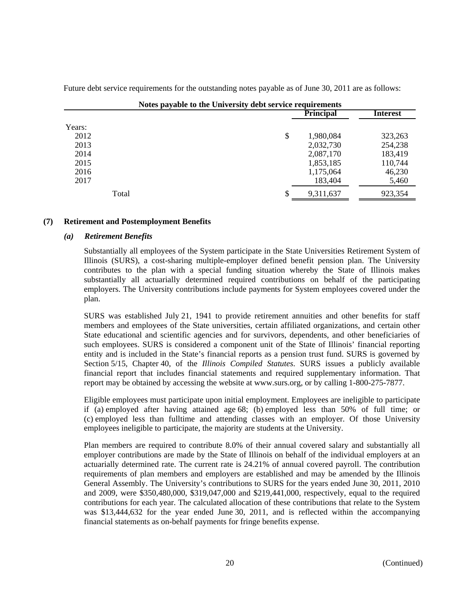| Notes payable to the University debt service requirements |                  |                 |  |  |
|-----------------------------------------------------------|------------------|-----------------|--|--|
|                                                           | <b>Principal</b> | <b>Interest</b> |  |  |
|                                                           |                  |                 |  |  |
| \$                                                        | 1,980,084        | 323,263         |  |  |
|                                                           | 2,032,730        | 254,238         |  |  |
|                                                           | 2,087,170        | 183,419         |  |  |
|                                                           | 1,853,185        | 110,744         |  |  |
|                                                           | 1,175,064        | 46,230          |  |  |
|                                                           | 183,404          | 5,460           |  |  |
|                                                           | 9,311,637        | 923,354         |  |  |
|                                                           |                  |                 |  |  |

Future debt service requirements for the outstanding notes payable as of June 30, 2011 are as follows:

## **(7) Retirement and Postemployment Benefits**

#### *(a) Retirement Benefits*

Substantially all employees of the System participate in the State Universities Retirement System of Illinois (SURS), a cost-sharing multiple-employer defined benefit pension plan. The University contributes to the plan with a special funding situation whereby the State of Illinois makes substantially all actuarially determined required contributions on behalf of the participating employers. The University contributions include payments for System employees covered under the plan.

SURS was established July 21, 1941 to provide retirement annuities and other benefits for staff members and employees of the State universities, certain affiliated organizations, and certain other State educational and scientific agencies and for survivors, dependents, and other beneficiaries of such employees. SURS is considered a component unit of the State of Illinois' financial reporting entity and is included in the State's financial reports as a pension trust fund. SURS is governed by Section 5/15, Chapter 40, of the *Illinois Compiled Statutes*. SURS issues a publicly available financial report that includes financial statements and required supplementary information. That report may be obtained by accessing the website at www.surs.org, or by calling 1-800-275-7877.

Eligible employees must participate upon initial employment. Employees are ineligible to participate if (a) employed after having attained age 68; (b) employed less than 50% of full time; or (c) employed less than fulltime and attending classes with an employer. Of those University employees ineligible to participate, the majority are students at the University.

Plan members are required to contribute 8.0% of their annual covered salary and substantially all employer contributions are made by the State of Illinois on behalf of the individual employers at an actuarially determined rate. The current rate is 24.21% of annual covered payroll. The contribution requirements of plan members and employers are established and may be amended by the Illinois General Assembly. The University's contributions to SURS for the years ended June 30, 2011, 2010 and 2009, were \$350,480,000, \$319,047,000 and \$219,441,000, respectively, equal to the required contributions for each year. The calculated allocation of these contributions that relate to the System was \$13,444,632 for the year ended June 30, 2011, and is reflected within the accompanying financial statements as on-behalf payments for fringe benefits expense.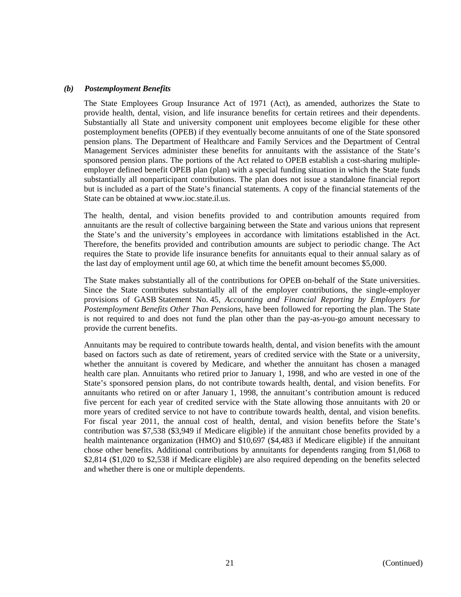## *(b) Postemployment Benefits*

The State Employees Group Insurance Act of 1971 (Act), as amended, authorizes the State to provide health, dental, vision, and life insurance benefits for certain retirees and their dependents. Substantially all State and university component unit employees become eligible for these other postemployment benefits (OPEB) if they eventually become annuitants of one of the State sponsored pension plans. The Department of Healthcare and Family Services and the Department of Central Management Services administer these benefits for annuitants with the assistance of the State's sponsored pension plans. The portions of the Act related to OPEB establish a cost-sharing multipleemployer defined benefit OPEB plan (plan) with a special funding situation in which the State funds substantially all nonparticipant contributions. The plan does not issue a standalone financial report but is included as a part of the State's financial statements. A copy of the financial statements of the State can be obtained at www.ioc.state.il.us.

The health, dental, and vision benefits provided to and contribution amounts required from annuitants are the result of collective bargaining between the State and various unions that represent the State's and the university's employees in accordance with limitations established in the Act. Therefore, the benefits provided and contribution amounts are subject to periodic change. The Act requires the State to provide life insurance benefits for annuitants equal to their annual salary as of the last day of employment until age 60, at which time the benefit amount becomes \$5,000.

The State makes substantially all of the contributions for OPEB on-behalf of the State universities. Since the State contributes substantially all of the employer contributions, the single-employer provisions of GASB Statement No. 45, *Accounting and Financial Reporting by Employers for Postemployment Benefits Other Than Pensions*, have been followed for reporting the plan. The State is not required to and does not fund the plan other than the pay-as-you-go amount necessary to provide the current benefits.

Annuitants may be required to contribute towards health, dental, and vision benefits with the amount based on factors such as date of retirement, years of credited service with the State or a university, whether the annuitant is covered by Medicare, and whether the annuitant has chosen a managed health care plan. Annuitants who retired prior to January 1, 1998, and who are vested in one of the State's sponsored pension plans, do not contribute towards health, dental, and vision benefits. For annuitants who retired on or after January 1, 1998, the annuitant's contribution amount is reduced five percent for each year of credited service with the State allowing those annuitants with 20 or more years of credited service to not have to contribute towards health, dental, and vision benefits. For fiscal year 2011, the annual cost of health, dental, and vision benefits before the State's contribution was \$7,538 (\$3,949 if Medicare eligible) if the annuitant chose benefits provided by a health maintenance organization (HMO) and \$10,697 (\$4,483 if Medicare eligible) if the annuitant chose other benefits. Additional contributions by annuitants for dependents ranging from \$1,068 to \$2,814 (\$1,020 to \$2,538 if Medicare eligible) are also required depending on the benefits selected and whether there is one or multiple dependents.